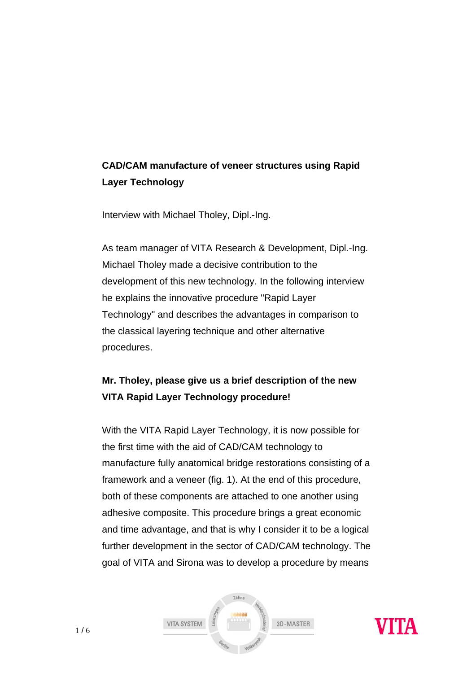### **CAD/CAM manufacture of veneer structures using Rapid Layer Technology**

Interview with Michael Tholey, Dipl.-Ing.

As team manager of VITA Research & Development, Dipl.-Ing. Michael Tholey made a decisive contribution to the development of this new technology. In the following interview he explains the innovative procedure "Rapid Layer Technology" and describes the advantages in comparison to the classical layering technique and other alternative procedures.

### **Mr. Tholey, please give us a brief description of the new VITA Rapid Layer Technology procedure!**

With the VITA Rapid Layer Technology, it is now possible for the first time with the aid of CAD/CAM technology to manufacture fully anatomical bridge restorations consisting of a framework and a veneer (fig. 1). At the end of this procedure, both of these components are attached to one another using adhesive composite. This procedure brings a great economic and time advantage, and that is why I consider it to be a logical further development in the sector of CAD/CAM technology. The goal of VITA and Sirona was to develop a procedure by means



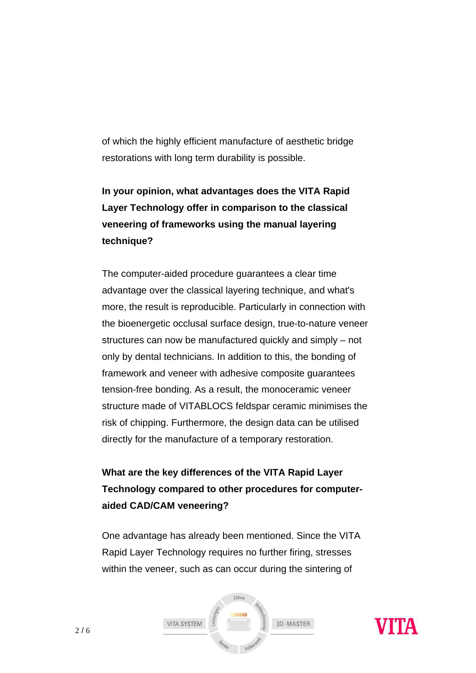of which the highly efficient manufacture of aesthetic bridge restorations with long term durability is possible.

# **In your opinion, what advantages does the VITA Rapid Layer Technology offer in comparison to the classical veneering of frameworks using the manual layering technique?**

The computer-aided procedure guarantees a clear time advantage over the classical layering technique, and what's more, the result is reproducible. Particularly in connection with the bioenergetic occlusal surface design, true-to-nature veneer structures can now be manufactured quickly and simply – not only by dental technicians. In addition to this, the bonding of framework and veneer with adhesive composite guarantees tension-free bonding. As a result, the monoceramic veneer structure made of VITABLOCS feldspar ceramic minimises the risk of chipping. Furthermore, the design data can be utilised directly for the manufacture of a temporary restoration.

# **What are the key differences of the VITA Rapid Layer Technology compared to other procedures for computeraided CAD/CAM veneering?**

One advantage has already been mentioned. Since the VITA Rapid Layer Technology requires no further firing, stresses within the veneer, such as can occur during the sintering of

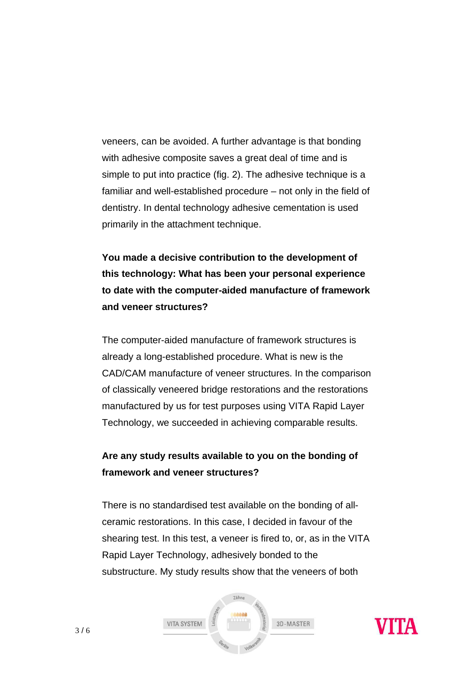veneers, can be avoided. A further advantage is that bonding with adhesive composite saves a great deal of time and is simple to put into practice (fig. 2). The adhesive technique is a familiar and well-established procedure – not only in the field of dentistry. In dental technology adhesive cementation is used primarily in the attachment technique.

**You made a decisive contribution to the development of this technology: What has been your personal experience to date with the computer-aided manufacture of framework and veneer structures?** 

The computer-aided manufacture of framework structures is already a long-established procedure. What is new is the CAD/CAM manufacture of veneer structures. In the comparison of classically veneered bridge restorations and the restorations manufactured by us for test purposes using VITA Rapid Layer Technology, we succeeded in achieving comparable results.

### **Are any study results available to you on the bonding of framework and veneer structures?**

There is no standardised test available on the bonding of allceramic restorations. In this case, I decided in favour of the shearing test. In this test, a veneer is fired to, or, as in the VITA Rapid Layer Technology, adhesively bonded to the substructure. My study results show that the veneers of both

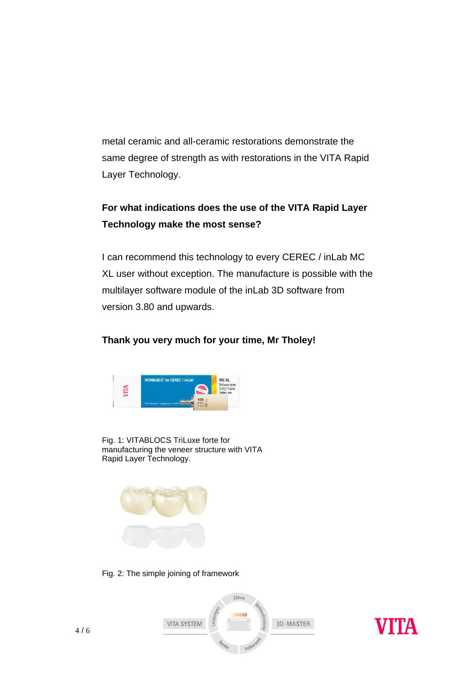metal ceramic and all-ceramic restorations demonstrate the same degree of strength as with restorations in the VITA Rapid Layer Technology.

## **For what indications does the use of the VITA Rapid Layer Technology make the most sense?**

I can recommend this technology to every CEREC / inLab MC XL user without exception. The manufacture is possible with the multilayer software module of the inLab 3D software from version 3.80 and upwards.

#### **Thank you very much for your time, Mr Tholey!**



Fig. 1: VITABLOCS TriLuxe forte for manufacturing the veneer structure with VITA Rapid Layer Technology.



Fig. 2: The simple joining of framework



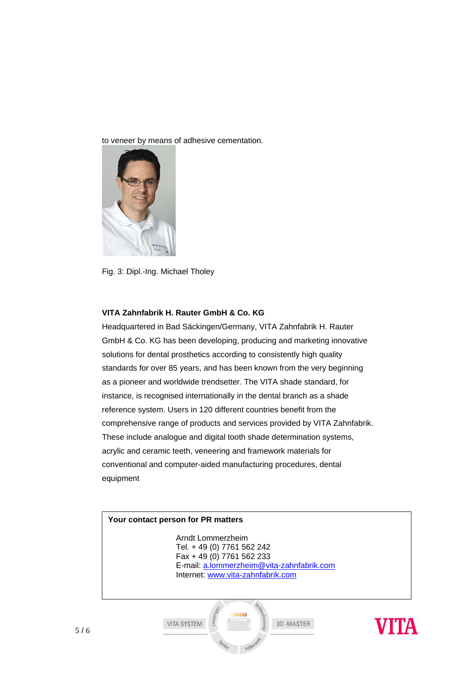to veneer by means of adhesive cementation.



Fig. 3: Dipl.-Ing. Michael Tholey

#### **VITA Zahnfabrik H. Rauter GmbH & Co. KG**

Headquartered in Bad Säckingen/Germany, VITA Zahnfabrik H. Rauter GmbH & Co. KG has been developing, producing and marketing innovative solutions for dental prosthetics according to consistently high quality standards for over 85 years, and has been known from the very beginning as a pioneer and worldwide trendsetter. The VITA shade standard, for instance, is recognised internationally in the dental branch as a shade reference system. Users in 120 different countries benefit from the comprehensive range of products and services provided by VITA Zahnfabrik. These include analogue and digital tooth shade determination systems, acrylic and ceramic teeth, veneering and framework materials for conventional and computer-aided manufacturing procedures, dental equipment

#### **Your contact person for PR matters**

 Arndt Lommerzheim Tel. + 49 (0) 7761 562 242 Fax + 49 (0) 7761 562 233 E-mail: [a.lommerzheim@vita-zahnfabrik.com](mailto:a.lommerzheim@vita-zahnfabrik.com) Internet: [www.vita-zahnfabrik.com](http://www.vita-zahnfabrik.com/)